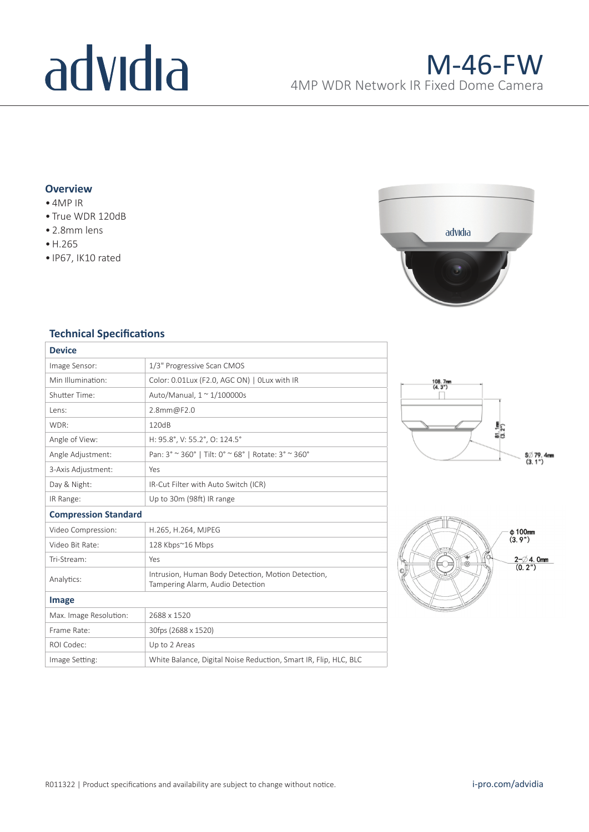# advidia

## **Overview**

- 4MP IR
- True WDR 120dB
- 2.8mm lens
- •H.265
- IP67, IK10 rated



### **Technical Specifications**

| <b>Device</b>               |                                                                                        |
|-----------------------------|----------------------------------------------------------------------------------------|
| Image Sensor:               | 1/3" Progressive Scan CMOS                                                             |
| Min Illumination:           | Color: 0.01Lux (F2.0, AGC ON)   OLux with IR                                           |
| Shutter Time:               | Auto/Manual, $1 \approx 1/100000$ s                                                    |
| Lens:                       | 2.8mm@F2.0                                                                             |
| WDR:                        | 120dB                                                                                  |
| Angle of View:              | H: 95.8°, V: 55.2°, O: 124.5°                                                          |
| Angle Adjustment:           | Pan: 3° ~ 360°   Tilt: 0° ~ 68°   Rotate: 3° ~ 360°                                    |
| 3-Axis Adjustment:          | Yes                                                                                    |
| Day & Night:                | IR-Cut Filter with Auto Switch (ICR)                                                   |
| IR Range:                   | Up to 30m (98ft) IR range                                                              |
| <b>Compression Standard</b> |                                                                                        |
| Video Compression:          | H.265, H.264, MJPEG                                                                    |
| Video Bit Rate:             | 128 Kbps~16 Mbps                                                                       |
| Tri-Stream:                 | Yes                                                                                    |
| Analytics:                  | Intrusion, Human Body Detection, Motion Detection,<br>Tampering Alarm, Audio Detection |
| Image                       |                                                                                        |
| Max. Image Resolution:      | 2688 x 1520                                                                            |
| Frame Rate:                 | 30fps (2688 x 1520)                                                                    |
| ROI Codec:                  | Up to 2 Areas                                                                          |
| Image Setting:              | White Balance, Digital Noise Reduction, Smart IR, Flip, HLC, BLC                       |